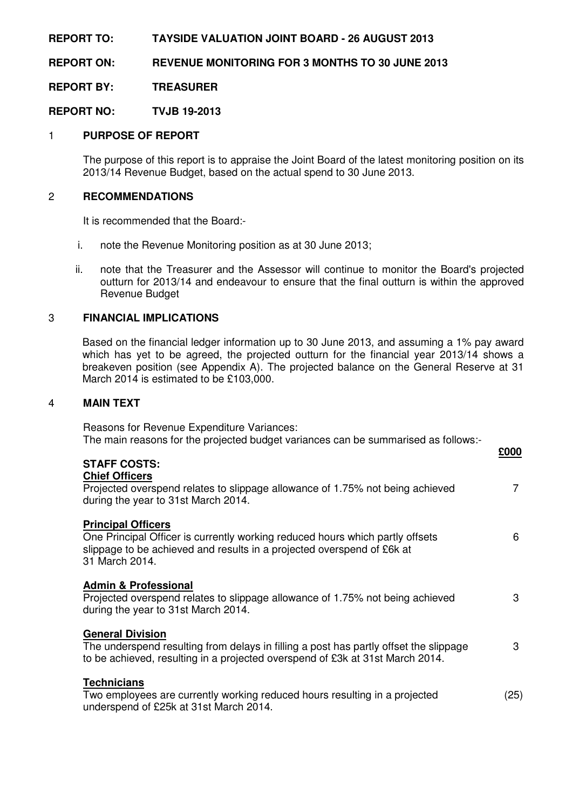**REPORT TO: TAYSIDE VALUATION JOINT BOARD - 26 AUGUST 2013** 

**REPORT ON: REVENUE MONITORING FOR 3 MONTHS TO 30 JUNE 2013** 

**REPORT BY: TREASURER** 

**REPORT NO: TVJB 19-2013** 

# 1 **PURPOSE OF REPORT**

 The purpose of this report is to appraise the Joint Board of the latest monitoring position on its 2013/14 Revenue Budget, based on the actual spend to 30 June 2013.

### 2 **RECOMMENDATIONS**

It is recommended that the Board:-

- i. note the Revenue Monitoring position as at 30 June 2013;
- ii. note that the Treasurer and the Assessor will continue to monitor the Board's projected outturn for 2013/14 and endeavour to ensure that the final outturn is within the approved Revenue Budget

## 3 **FINANCIAL IMPLICATIONS**

 Based on the financial ledger information up to 30 June 2013, and assuming a 1% pay award which has yet to be agreed, the projected outturn for the financial year 2013/14 shows a breakeven position (see Appendix A). The projected balance on the General Reserve at 31 March 2014 is estimated to be £103,000.

### 4 **MAIN TEXT**

 Reasons for Revenue Expenditure Variances: The main reasons for the projected budget variances can be summarised as follows:-

| <b>STAFF COSTS:</b>                                                                                                                                                                                    | £000 |
|--------------------------------------------------------------------------------------------------------------------------------------------------------------------------------------------------------|------|
| <b>Chief Officers</b><br>Projected overspend relates to slippage allowance of 1.75% not being achieved<br>during the year to 31st March 2014.                                                          |      |
| <b>Principal Officers</b><br>One Principal Officer is currently working reduced hours which partly offsets<br>slippage to be achieved and results in a projected overspend of £6k at<br>31 March 2014. | 6    |
| <b>Admin &amp; Professional</b><br>Projected overspend relates to slippage allowance of 1.75% not being achieved<br>during the year to 31st March 2014.                                                | 3    |
| <b>General Division</b><br>The underspend resulting from delays in filling a post has partly offset the slippage<br>to be achieved, resulting in a projected overspend of £3k at 31st March 2014.      | 3    |
| <b>Technicians</b><br>Two employees are currently working reduced hours resulting in a projected<br>underspend of £25k at 31st March 2014.                                                             | (25) |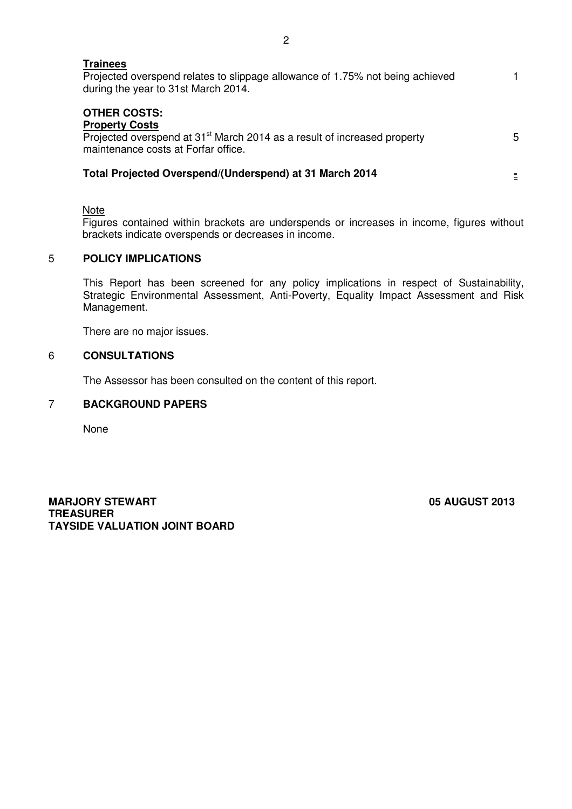| Trainees<br>Projected overspend relates to slippage allowance of 1.75% not being achieved<br>during the year to 31st March 2014.                                            |   |
|-----------------------------------------------------------------------------------------------------------------------------------------------------------------------------|---|
| <b>OTHER COSTS:</b><br><b>Property Costs</b><br>Projected overspend at 31 <sup>st</sup> March 2014 as a result of increased property<br>maintenance costs at Forfar office. | 5 |
| Total Projected Overspend/(Underspend) at 31 March 2014                                                                                                                     |   |

**Note** 

 Figures contained within brackets are underspends or increases in income, figures without brackets indicate overspends or decreases in income.

#### $\overline{5}$ 5 **POLICY IMPLICATIONS**

This Report has been screened for any policy implications in respect of Sustainability, Strategic Environmental Assessment, Anti-Poverty, Equality Impact Assessment and Risk Management.

There are no major issues.

# 6 **CONSULTATIONS**

The Assessor has been consulted on the content of this report.

## 7 **BACKGROUND PAPERS**

None

**MARJORY STEWART 65 AUGUST 2013 TREASURER TAYSIDE VALUATION JOINT BOARD**